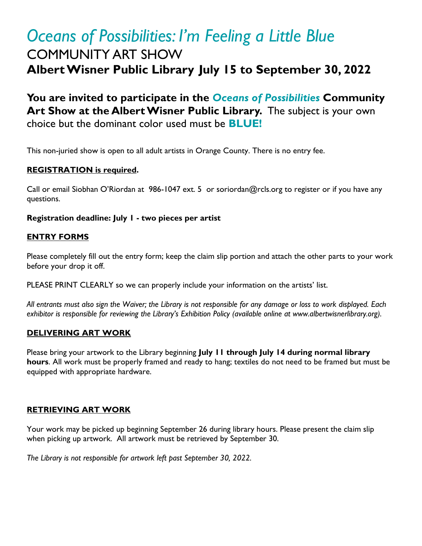# *Oceans of Possibilities: I'm Feeling a Little Blue*  COMMUNITY ART SHOW **Albert Wisner Public Library July 15 to September 30, 2022**

**You are invited to participate in the** *Oceans of Possibilities* **Community Art Show at the Albert Wisner Public Library.** The subject is your own choice but the dominant color used must be **BLUE!**

This non-juried show is open to all adult artists in Orange County. There is no entry fee.

### **REGISTRATION is required.**

Call or email Siobhan O'Riordan at 986-1047 ext. 5 or soriordan@rcls.org to register or if you have any questions.

#### **Registration deadline: July 1 - two pieces per artist**

#### **ENTRY FORMS**

Please completely fill out the entry form; keep the claim slip portion and attach the other parts to your work before your drop it off.

PLEASE PRINT CLEARLY so we can properly include your information on the artists' list.

*All entrants must also sign the Waiver; the Library is not responsible for any damage or loss to work displayed. Each exhibitor is responsible for reviewing the Library's Exhibition Policy (available online at www.albertwisnerlibrary.org).*

#### **DELIVERING ART WORK**

Please bring your artwork to the Library beginning **July 11 through July 14 during normal library hours**. All work must be properly framed and ready to hang; textiles do not need to be framed but must be equipped with appropriate hardware.

#### **RETRIEVING ART WORK**

Your work may be picked up beginning September 26 during library hours. Please present the claim slip when picking up artwork. All artwork must be retrieved by September 30.

*The Library is not responsible for artwork left past September 30, 2022.*